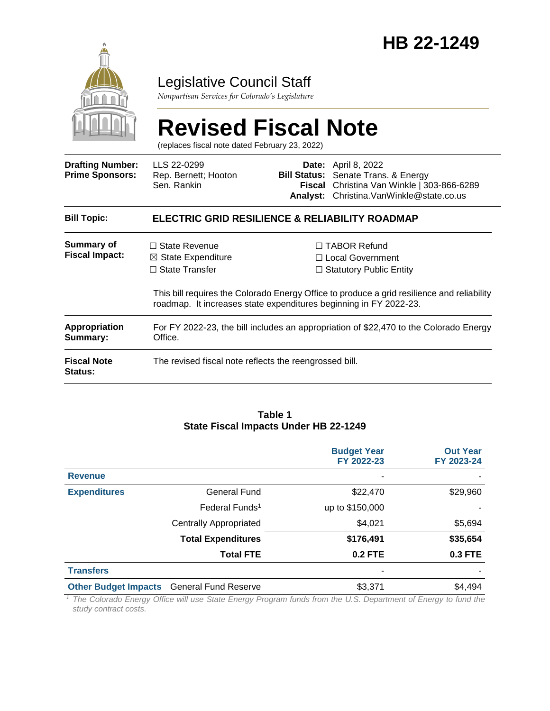

# Legislative Council Staff

*Nonpartisan Services for Colorado's Legislature*

# **Revised Fiscal Note**

(replaces fiscal note dated February 23, 2022)

| <b>Drafting Number:</b><br><b>Prime Sponsors:</b> | LLS 22-0299<br>Rep. Bernett; Hooton<br>Sen. Rankin                                                                                                  |  | <b>Date:</b> April 8, 2022<br><b>Bill Status:</b> Senate Trans. & Energy<br>Fiscal Christina Van Winkle   303-866-6289<br>Analyst: Christina. VanWinkle@state.co.us            |  |  |
|---------------------------------------------------|-----------------------------------------------------------------------------------------------------------------------------------------------------|--|--------------------------------------------------------------------------------------------------------------------------------------------------------------------------------|--|--|
| <b>Bill Topic:</b>                                | <b>ELECTRIC GRID RESILIENCE &amp; RELIABILITY ROADMAP</b>                                                                                           |  |                                                                                                                                                                                |  |  |
| Summary of<br><b>Fiscal Impact:</b>               | $\Box$ State Revenue<br>$\boxtimes$ State Expenditure<br>$\Box$ State Transfer<br>roadmap. It increases state expenditures beginning in FY 2022-23. |  | $\Box$ TABOR Refund<br>$\Box$ Local Government<br>$\Box$ Statutory Public Entity<br>This bill requires the Colorado Energy Office to produce a grid resilience and reliability |  |  |
| <b>Appropriation</b><br>Summary:                  | For FY 2022-23, the bill includes an appropriation of \$22,470 to the Colorado Energy<br>Office.                                                    |  |                                                                                                                                                                                |  |  |
| <b>Fiscal Note</b><br>Status:                     | The revised fiscal note reflects the reengrossed bill.                                                                                              |  |                                                                                                                                                                                |  |  |

#### **Table 1 State Fiscal Impacts Under HB 22-1249**

|                                                                                                                                                                                                                                                                                                                                                                                                                                                                                 |                                                                                   | <b>Budget Year</b><br>FY 2022-23               | <b>Out Year</b><br>FY 2023-24             |
|---------------------------------------------------------------------------------------------------------------------------------------------------------------------------------------------------------------------------------------------------------------------------------------------------------------------------------------------------------------------------------------------------------------------------------------------------------------------------------|-----------------------------------------------------------------------------------|------------------------------------------------|-------------------------------------------|
| <b>Revenue</b>                                                                                                                                                                                                                                                                                                                                                                                                                                                                  |                                                                                   |                                                |                                           |
| <b>Expenditures</b>                                                                                                                                                                                                                                                                                                                                                                                                                                                             | <b>General Fund</b>                                                               | \$22,470                                       | \$29,960                                  |
|                                                                                                                                                                                                                                                                                                                                                                                                                                                                                 | Federal Funds <sup>1</sup>                                                        | up to \$150,000                                |                                           |
|                                                                                                                                                                                                                                                                                                                                                                                                                                                                                 | <b>Centrally Appropriated</b>                                                     | \$4,021                                        | \$5,694                                   |
|                                                                                                                                                                                                                                                                                                                                                                                                                                                                                 | <b>Total Expenditures</b>                                                         | \$176,491                                      | \$35,654                                  |
|                                                                                                                                                                                                                                                                                                                                                                                                                                                                                 | <b>Total FTE</b>                                                                  | <b>0.2 FTE</b>                                 | <b>0.3 FTE</b>                            |
| <b>Transfers</b>                                                                                                                                                                                                                                                                                                                                                                                                                                                                |                                                                                   |                                                |                                           |
|                                                                                                                                                                                                                                                                                                                                                                                                                                                                                 | <b>Other Budget Impacts</b> General Fund Reserve                                  | \$3,371                                        | \$4,494                                   |
| $\overline{\phantom{a}}$ $\overline{\phantom{a}}$ $\overline{\phantom{a}}$ $\overline{\phantom{a}}$ $\overline{\phantom{a}}$ $\overline{\phantom{a}}$ $\overline{\phantom{a}}$ $\overline{\phantom{a}}$ $\overline{\phantom{a}}$ $\overline{\phantom{a}}$ $\overline{\phantom{a}}$ $\overline{\phantom{a}}$ $\overline{\phantom{a}}$ $\overline{\phantom{a}}$ $\overline{\phantom{a}}$ $\overline{\phantom{a}}$ $\overline{\phantom{a}}$ $\overline{\phantom{a}}$ $\overline{\$ | $\sim$ $\sim$ $\sim$<br>$\cdots$ $\sim$ $\sim$ $\sim$<br>$\overline{\phantom{0}}$ | $\sim$ $-$<br>$\sim$ $\sim$ $\sim$<br>$\cdots$ | $\sim$ $\sim$ $\sim$ $\sim$ $\sim$ $\sim$ |

*<sup>1</sup> The Colorado Energy Office will use State Energy Program funds from the U.S. Department of Energy to fund the study contract costs.*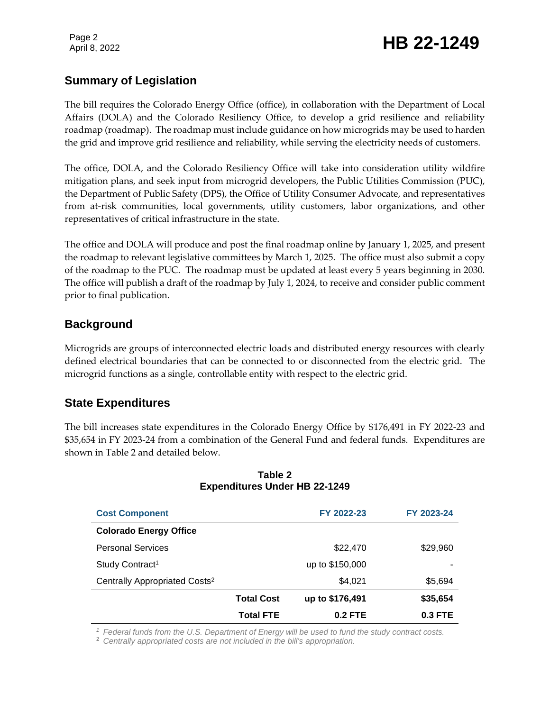# Page 2<br>April 8, 2022 **HB 22-1249**

# **Summary of Legislation**

The bill requires the Colorado Energy Office (office), in collaboration with the Department of Local Affairs (DOLA) and the Colorado Resiliency Office, to develop a grid resilience and reliability roadmap (roadmap). The roadmap must include guidance on how microgrids may be used to harden the grid and improve grid resilience and reliability, while serving the electricity needs of customers.

The office, DOLA, and the Colorado Resiliency Office will take into consideration utility wildfire mitigation plans, and seek input from microgrid developers, the Public Utilities Commission (PUC), the Department of Public Safety (DPS), the Office of Utility Consumer Advocate, and representatives from at-risk communities, local governments, utility customers, labor organizations, and other representatives of critical infrastructure in the state.

The office and DOLA will produce and post the final roadmap online by January 1, 2025, and present the roadmap to relevant legislative committees by March 1, 2025. The office must also submit a copy of the roadmap to the PUC. The roadmap must be updated at least every 5 years beginning in 2030. The office will publish a draft of the roadmap by July 1, 2024, to receive and consider public comment prior to final publication.

### **Background**

Microgrids are groups of interconnected electric loads and distributed energy resources with clearly defined electrical boundaries that can be connected to or disconnected from the electric grid. The microgrid functions as a single, controllable entity with respect to the electric grid.

### **State Expenditures**

The bill increases state expenditures in the Colorado Energy Office by \$176,491 in FY 2022-23 and \$35,654 in FY 2023-24 from a combination of the General Fund and federal funds. Expenditures are shown in Table 2 and detailed below.

| <b>Cost Component</b>                     |                   | FY 2022-23      | FY 2023-24 |
|-------------------------------------------|-------------------|-----------------|------------|
| <b>Colorado Energy Office</b>             |                   |                 |            |
| <b>Personal Services</b>                  |                   | \$22,470        | \$29,960   |
| Study Contract <sup>1</sup>               |                   | up to \$150,000 |            |
| Centrally Appropriated Costs <sup>2</sup> |                   | \$4,021         | \$5,694    |
|                                           | <b>Total Cost</b> | up to \$176,491 | \$35,654   |
|                                           | <b>Total FTE</b>  | 0.2 FTE         | $0.3$ FTE  |

#### **Table 2 Expenditures Under HB 22-1249**

*<sup>1</sup> Federal funds from the U.S. Department of Energy will be used to fund the study contract costs.*

<sup>2</sup> *Centrally appropriated costs are not included in the bill's appropriation.*